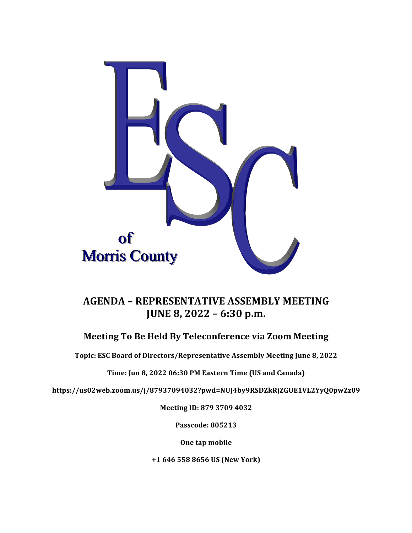

# **AGENDA – REPRESENTATIVE ASSEMBLY MEETING JUNE 8, 2022 – 6:30 p.m.**

### **Meeting To Be Held By Teleconference via Zoom Meeting**

Topic: ESC Board of Directors/Representative Assembly Meeting June 8, 2022

Time: Jun 8, 2022 06:30 PM Eastern Time (US and Canada)

**https://us02web.zoom.us/j/87937094032?pwd=NUJ4by9RSDZkRjZGUE1VL2YyQ0pwZz09**

**Meeting ID: 879 3709 4032**

**Passcode: 805213**

**One tap mobile** 

**+1 646 558 8656 US (New York)**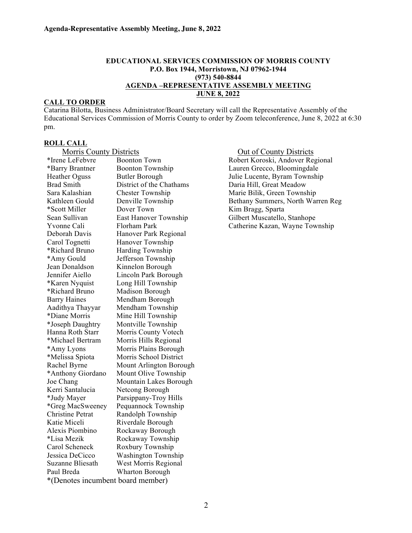#### **EDUCATIONAL SERVICES COMMISSION OF MORRIS COUNTY P.O. Box 1944, Morristown, NJ 07962-1944 (973) 540-8844 AGENDA –REPRESENTATIVE ASSEMBLY MEETING JUNE 8, 2022**

#### **CALL TO ORDER**

Catarina Bilotta, Business Administrator/Board Secretary will call the Representative Assembly of the Educational Services Commission of Morris County to order by Zoom teleconference, June 8, 2022 at 6:30 pm.

## **ROLL CALL**

| <b>Morris County Districts</b>    |                            |
|-----------------------------------|----------------------------|
| *Irene LeFebvre                   | <b>Boonton Town</b>        |
| *Barry Brantner                   | <b>Boonton Township</b>    |
| <b>Heather Oguss</b>              | <b>Butler Borough</b>      |
| <b>Brad Smith</b>                 | District of the Chathams   |
| Sara Kalashian                    | <b>Chester Township</b>    |
| Kathleen Gould                    | Denville Township          |
| *Scott Miller                     | Dover Town                 |
| Sean Sullivan                     | East Hanover Township      |
| Yvonne Cali                       | Florham Park               |
| Deborah Davis                     | Hanover Park Regional      |
| Carol Tognetti                    | Hanover Township           |
| *Richard Bruno                    | <b>Harding Township</b>    |
| *Amy Gould                        | Jefferson Township         |
| Jean Donaldson                    | Kinnelon Borough           |
| Jennifer Aiello                   | Lincoln Park Borough       |
| *Karen Nyquist                    | Long Hill Township         |
| *Richard Bruno                    | Madison Borough            |
| <b>Barry Haines</b>               | Mendham Borough            |
| Aadithya Thayyar                  | Mendham Township           |
| *Diane Morris                     | Mine Hill Township         |
| *Joseph Daughtry                  | Montville Township         |
| Hanna Roth Starr                  | Morris County Votech       |
| *Michael Bertram                  | Morris Hills Regional      |
| *Amy Lyons                        | Morris Plains Borough      |
| *Melissa Spiota                   | Morris School District     |
| Rachel Byrne                      | Mount Arlington Borough    |
| *Anthony Giordano                 | Mount Olive Township       |
| Joe Chang                         | Mountain Lakes Borough     |
| Kerri Santalucia                  | Netcong Borough            |
| *Judy Mayer                       | Parsippany-Troy Hills      |
| *Greg MacSweeney                  | Pequannock Township        |
| <b>Christine Petrat</b>           | Randolph Township          |
| Katie Miceli                      | Riverdale Borough          |
| Alexis Piombino                   | Rockaway Borough           |
| *Lisa Mezik                       | Rockaway Township          |
| Carol Scheneck                    | Roxbury Township           |
| Jessica DeCicco                   | <b>Washington Township</b> |
| <b>Suzanne Bliesath</b>           | West Morris Regional       |
| Paul Breda                        | <b>Wharton Borough</b>     |
| *(Denotes incumbent board member) |                            |

nty Districts **Out of County Districts** Robert Koroski, Andover Regional Lauren Grecco, Bloomingdale Julie Lucente, Byram Township hams Daria Hill, Great Meadow Marie Bilik, Green Township Bethany Summers, North Warren Reg Kim Bragg, Sparta ship Gilbert Muscatello, Stanhope Catherine Kazan, Wayne Township